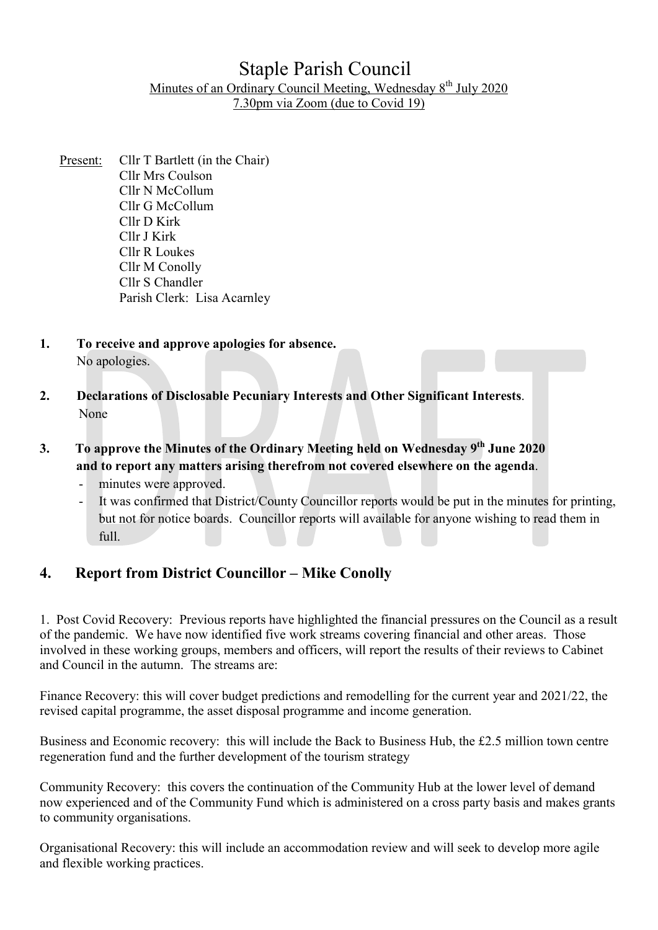## Staple Parish Council Minutes of an Ordinary Council Meeting, Wednesday 8<sup>th</sup> July 2020 7.30pm via Zoom (due to Covid 19)

- Present: Cllr T Bartlett (in the Chair) Cllr Mrs Coulson Cllr N McCollum Cllr G McCollum Cllr D Kirk Cllr J Kirk Cllr R Loukes Cllr M Conolly Cllr S Chandler Parish Clerk: Lisa Acarnley
- 1. To receive and approve apologies for absence. No apologies.
- 2. Declarations of Disclosable Pecuniary Interests and Other Significant Interests. None
- 3. To approve the Minutes of the Ordinary Meeting held on Wednesday 9<sup>th</sup> June 2020 and to report any matters arising therefrom not covered elsewhere on the agenda.
	- minutes were approved.
	- It was confirmed that District/County Councillor reports would be put in the minutes for printing, but not for notice boards. Councillor reports will available for anyone wishing to read them in full.

## 4. Report from District Councillor – Mike Conolly

1. Post Covid Recovery: Previous reports have highlighted the financial pressures on the Council as a result of the pandemic. We have now identified five work streams covering financial and other areas. Those involved in these working groups, members and officers, will report the results of their reviews to Cabinet and Council in the autumn. The streams are:

Finance Recovery: this will cover budget predictions and remodelling for the current year and 2021/22, the revised capital programme, the asset disposal programme and income generation.

Business and Economic recovery: this will include the Back to Business Hub, the £2.5 million town centre regeneration fund and the further development of the tourism strategy

Community Recovery: this covers the continuation of the Community Hub at the lower level of demand now experienced and of the Community Fund which is administered on a cross party basis and makes grants to community organisations.

Organisational Recovery: this will include an accommodation review and will seek to develop more agile and flexible working practices.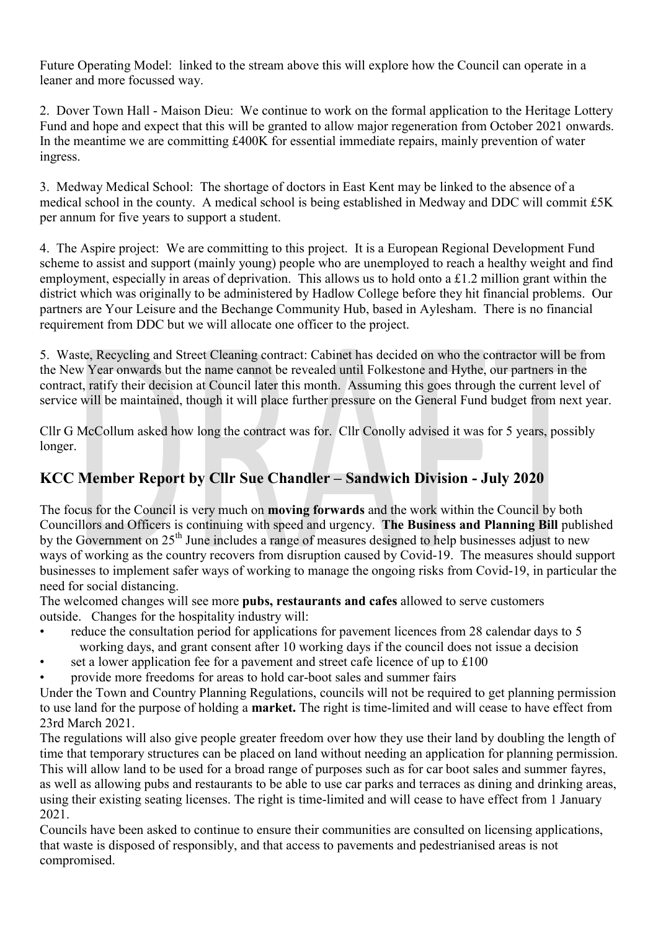Future Operating Model: linked to the stream above this will explore how the Council can operate in a leaner and more focussed way.

2. Dover Town Hall - Maison Dieu: We continue to work on the formal application to the Heritage Lottery Fund and hope and expect that this will be granted to allow major regeneration from October 2021 onwards. In the meantime we are committing £400K for essential immediate repairs, mainly prevention of water ingress.

3. Medway Medical School: The shortage of doctors in East Kent may be linked to the absence of a medical school in the county. A medical school is being established in Medway and DDC will commit £5K per annum for five years to support a student.

4. The Aspire project: We are committing to this project. It is a European Regional Development Fund scheme to assist and support (mainly young) people who are unemployed to reach a healthy weight and find employment, especially in areas of deprivation. This allows us to hold onto a £1.2 million grant within the district which was originally to be administered by Hadlow College before they hit financial problems. Our partners are Your Leisure and the Bechange Community Hub, based in Aylesham. There is no financial requirement from DDC but we will allocate one officer to the project.

5. Waste, Recycling and Street Cleaning contract: Cabinet has decided on who the contractor will be from the New Year onwards but the name cannot be revealed until Folkestone and Hythe, our partners in the contract, ratify their decision at Council later this month. Assuming this goes through the current level of service will be maintained, though it will place further pressure on the General Fund budget from next year.

Cllr G McCollum asked how long the contract was for. Cllr Conolly advised it was for 5 years, possibly longer.

# KCC Member Report by Cllr Sue Chandler – Sandwich Division - July 2020

The focus for the Council is very much on moving forwards and the work within the Council by both Councillors and Officers is continuing with speed and urgency. The Business and Planning Bill published by the Government on 25<sup>th</sup> June includes a range of measures designed to help businesses adjust to new ways of working as the country recovers from disruption caused by Covid-19. The measures should support businesses to implement safer ways of working to manage the ongoing risks from Covid-19, in particular the need for social distancing.

The welcomed changes will see more **pubs, restaurants and cafes** allowed to serve customers outside. Changes for the hospitality industry will:

- reduce the consultation period for applications for pavement licences from 28 calendar days to 5 working days, and grant consent after 10 working days if the council does not issue a decision
- set a lower application fee for a pavement and street cafe licence of up to  $\text{\pounds}100$
- provide more freedoms for areas to hold car-boot sales and summer fairs

Under the Town and Country Planning Regulations, councils will not be required to get planning permission to use land for the purpose of holding a market. The right is time-limited and will cease to have effect from 23rd March 2021.

The regulations will also give people greater freedom over how they use their land by doubling the length of time that temporary structures can be placed on land without needing an application for planning permission. This will allow land to be used for a broad range of purposes such as for car boot sales and summer fayres, as well as allowing pubs and restaurants to be able to use car parks and terraces as dining and drinking areas, using their existing seating licenses. The right is time-limited and will cease to have effect from 1 January 2021.

Councils have been asked to continue to ensure their communities are consulted on licensing applications, that waste is disposed of responsibly, and that access to pavements and pedestrianised areas is not compromised.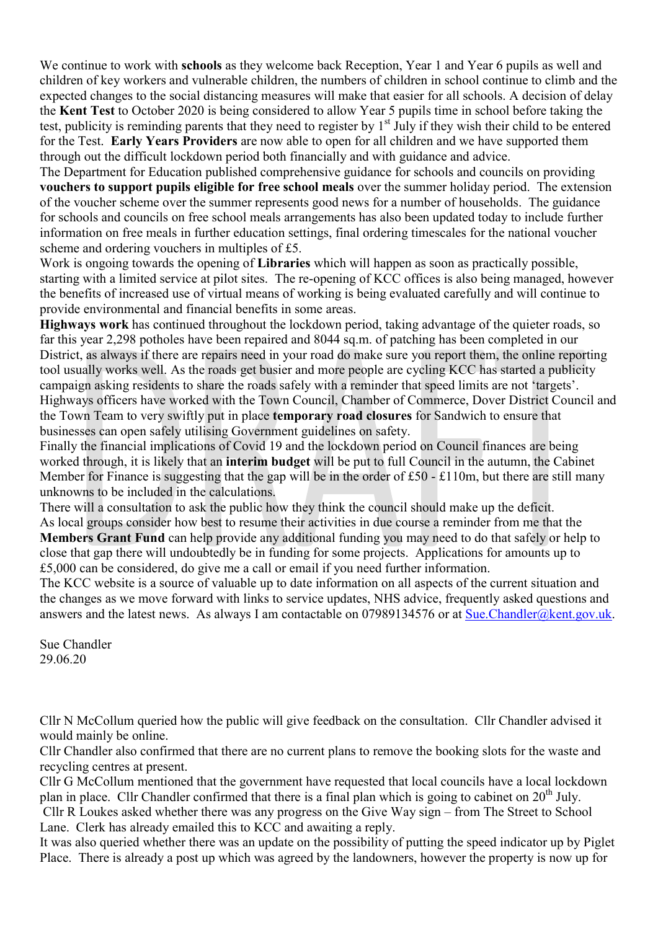We continue to work with **schools** as they welcome back Reception, Year 1 and Year 6 pupils as well and children of key workers and vulnerable children, the numbers of children in school continue to climb and the expected changes to the social distancing measures will make that easier for all schools. A decision of delay the Kent Test to October 2020 is being considered to allow Year 5 pupils time in school before taking the test, publicity is reminding parents that they need to register by  $1<sup>st</sup>$  July if they wish their child to be entered for the Test. Early Years Providers are now able to open for all children and we have supported them through out the difficult lockdown period both financially and with guidance and advice.

The Department for Education published comprehensive guidance for schools and councils on providing vouchers to support pupils eligible for free school meals over the summer holiday period. The extension of the voucher scheme over the summer represents good news for a number of households. The guidance for schools and councils on free school meals arrangements has also been updated today to include further information on free meals in further education settings, final ordering timescales for the national voucher scheme and ordering vouchers in multiples of £5.

Work is ongoing towards the opening of **Libraries** which will happen as soon as practically possible, starting with a limited service at pilot sites. The re-opening of KCC offices is also being managed, however the benefits of increased use of virtual means of working is being evaluated carefully and will continue to provide environmental and financial benefits in some areas.

Highways work has continued throughout the lockdown period, taking advantage of the quieter roads, so far this year 2,298 potholes have been repaired and 8044 sq.m. of patching has been completed in our District, as always if there are repairs need in your road do make sure you report them, the online reporting tool usually works well. As the roads get busier and more people are cycling KCC has started a publicity campaign asking residents to share the roads safely with a reminder that speed limits are not 'targets'. Highways officers have worked with the Town Council, Chamber of Commerce, Dover District Council and the Town Team to very swiftly put in place temporary road closures for Sandwich to ensure that businesses can open safely utilising Government guidelines on safety.

Finally the financial implications of Covid 19 and the lockdown period on Council finances are being worked through, it is likely that an interim budget will be put to full Council in the autumn, the Cabinet Member for Finance is suggesting that the gap will be in the order of £50 - £110m, but there are still many unknowns to be included in the calculations.

There will a consultation to ask the public how they think the council should make up the deficit. As local groups consider how best to resume their activities in due course a reminder from me that the Members Grant Fund can help provide any additional funding you may need to do that safely or help to close that gap there will undoubtedly be in funding for some projects. Applications for amounts up to £5,000 can be considered, do give me a call or email if you need further information.

The KCC website is a source of valuable up to date information on all aspects of the current situation and the changes as we move forward with links to service updates, NHS advice, frequently asked questions and answers and the latest news. As always I am contactable on 07989134576 or at Sue.Chandler@kent.gov.uk.

Sue Chandler 29.06.20

Cllr N McCollum queried how the public will give feedback on the consultation. Cllr Chandler advised it would mainly be online.

Cllr Chandler also confirmed that there are no current plans to remove the booking slots for the waste and recycling centres at present.

Cllr G McCollum mentioned that the government have requested that local councils have a local lockdown plan in place. Cllr Chandler confirmed that there is a final plan which is going to cabinet on  $20^{th}$  July.

 Cllr R Loukes asked whether there was any progress on the Give Way sign – from The Street to School Lane. Clerk has already emailed this to KCC and awaiting a reply.

It was also queried whether there was an update on the possibility of putting the speed indicator up by Piglet Place. There is already a post up which was agreed by the landowners, however the property is now up for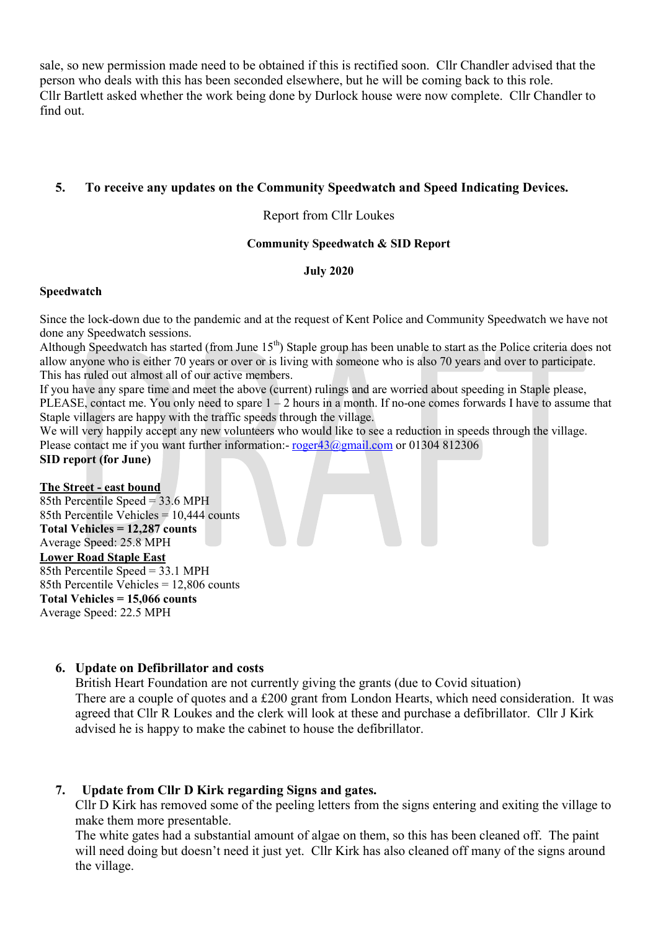sale, so new permission made need to be obtained if this is rectified soon. Cllr Chandler advised that the person who deals with this has been seconded elsewhere, but he will be coming back to this role. Cllr Bartlett asked whether the work being done by Durlock house were now complete. Cllr Chandler to find out.

### 5. To receive any updates on the Community Speedwatch and Speed Indicating Devices.

#### Report from Cllr Loukes

#### Community Speedwatch & SID Report

#### July 2020

#### Speedwatch

Since the lock-down due to the pandemic and at the request of Kent Police and Community Speedwatch we have not done any Speedwatch sessions.

Although Speedwatch has started (from June  $15<sup>th</sup>$ ) Staple group has been unable to start as the Police criteria does not allow anyone who is either 70 years or over or is living with someone who is also 70 years and over to participate. This has ruled out almost all of our active members.

If you have any spare time and meet the above (current) rulings and are worried about speeding in Staple please, PLEASE, contact me. You only need to spare  $1 - 2$  hours in a month. If no-one comes forwards I have to assume that Staple villagers are happy with the traffic speeds through the village.

We will very happily accept any new volunteers who would like to see a reduction in speeds through the village. Please contact me if you want further information:- roger43@gmail.com or 01304 812306

#### SID report (for June)

#### The Street - east bound

85th Percentile Speed = 33.6 MPH 85th Percentile Vehicles = 10,444 counts Total Vehicles = 12,287 counts Average Speed: 25.8 MPH

#### Lower Road Staple East

85th Percentile Speed = 33.1 MPH 85th Percentile Vehicles = 12,806 counts Total Vehicles = 15,066 counts Average Speed: 22.5 MPH

#### 6. Update on Defibrillator and costs

British Heart Foundation are not currently giving the grants (due to Covid situation) There are a couple of quotes and a £200 grant from London Hearts, which need consideration. It was agreed that Cllr R Loukes and the clerk will look at these and purchase a defibrillator. Cllr J Kirk advised he is happy to make the cabinet to house the defibrillator.

## 7. Update from Cllr D Kirk regarding Signs and gates.

Cllr D Kirk has removed some of the peeling letters from the signs entering and exiting the village to make them more presentable.

The white gates had a substantial amount of algae on them, so this has been cleaned off. The paint will need doing but doesn't need it just yet. Cllr Kirk has also cleaned off many of the signs around the village.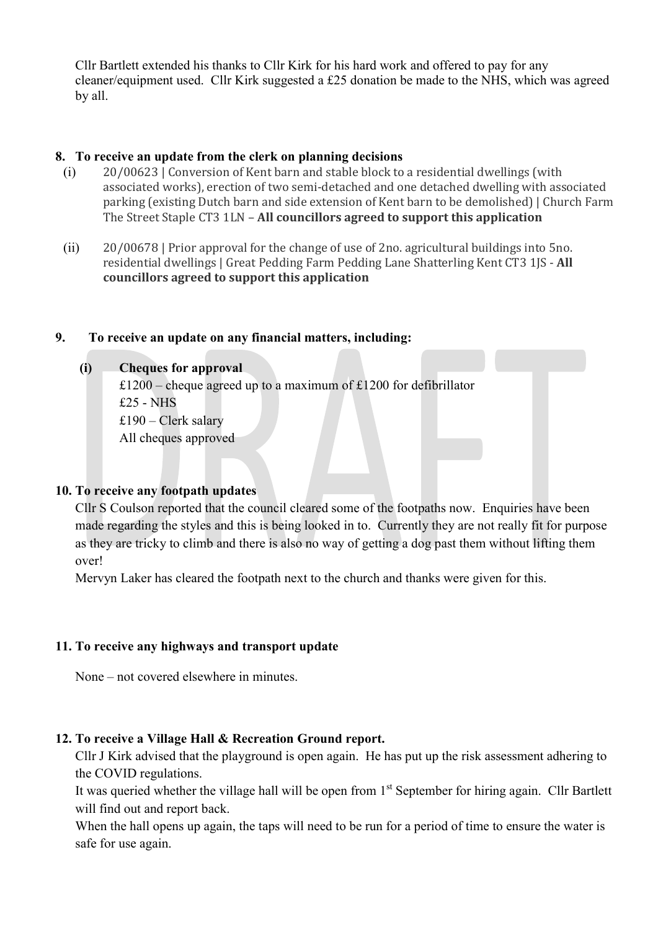Cllr Bartlett extended his thanks to Cllr Kirk for his hard work and offered to pay for any cleaner/equipment used. Cllr Kirk suggested a £25 donation be made to the NHS, which was agreed by all.

### 8. To receive an update from the clerk on planning decisions

- (i) 20/00623 | Conversion of Kent barn and stable block to a residential dwellings (with associated works), erection of two semi-detached and one detached dwelling with associated parking (existing Dutch barn and side extension of Kent barn to be demolished) | Church Farm The Street Staple CT3 1LN – All councillors agreed to support this application
- (ii) 20/00678 | Prior approval for the change of use of 2no. agricultural buildings into 5no. residential dwellings | Great Pedding Farm Pedding Lane Shatterling Kent CT3 1JS - All councillors agreed to support this application

#### 9. To receive an update on any financial matters, including:

### (i) Cheques for approval

£1200 – cheque agreed up to a maximum of £1200 for defibrillator £25 - NHS £190 – Clerk salary All cheques approved

## 10. To receive any footpath updates

Cllr S Coulson reported that the council cleared some of the footpaths now. Enquiries have been made regarding the styles and this is being looked in to. Currently they are not really fit for purpose as they are tricky to climb and there is also no way of getting a dog past them without lifting them over!

Mervyn Laker has cleared the footpath next to the church and thanks were given for this.

## 11. To receive any highways and transport update

None – not covered elsewhere in minutes.

## 12. To receive a Village Hall & Recreation Ground report.

Cllr J Kirk advised that the playground is open again. He has put up the risk assessment adhering to the COVID regulations.

It was queried whether the village hall will be open from 1<sup>st</sup> September for hiring again. Cllr Bartlett will find out and report back.

When the hall opens up again, the taps will need to be run for a period of time to ensure the water is safe for use again.